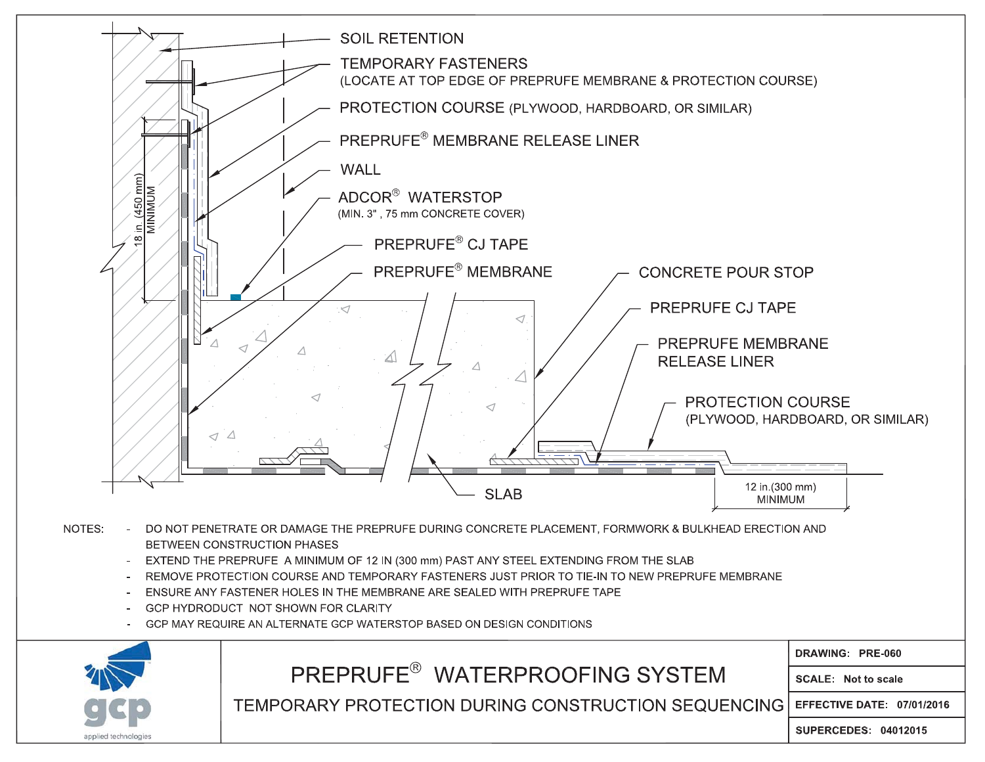

- EXTEND THE PREPRUFE A MINIMUM OF 12 IN (300 mm) PAST ANY STEEL EXTENDING FROM THE SLAB
- REMOVE PROTECTION COURSE AND TEMPORARY FASTENERS JUST PRIOR TO TIE-IN TO NEW PREPRUFE MEMBRANE
- ENSURE ANY FASTENER HOLES IN THE MEMBRANE ARE SEALED WITH PREPRUFE TAPE
- **GCP HYDRODUCT NOT SHOWN FOR CLARITY**
- GCP MAY REQUIRE AN ALTERNATE GCP WATERSTOP BASED ON DESIGN CONDITIONS

|                      |                                                     | <b>DRAWING: PRE-060</b>    |
|----------------------|-----------------------------------------------------|----------------------------|
|                      | PREPRUFE <sup>®</sup> WATERPROOFING SYSTEM          | <b>SCALE:</b> Not to scale |
| C C D                | TEMPORARY PROTECTION DURING CONSTRUCTION SEQUENCING | EFFECTIVE DATE: 07/01/2016 |
| applied technologies |                                                     | SUPERCEDES: 04012015       |